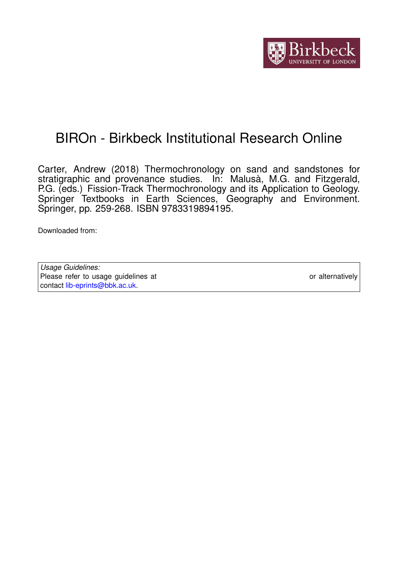

# BIROn - Birkbeck Institutional Research Online

Carter, Andrew (2018) Thermochronology on sand and sandstones for stratigraphic and provenance studies. In: Malusà, M.G. and Fitzgerald, P.G. (eds.) Fission-Track Thermochronology and its Application to Geology. Springer Textbooks in Earth Sciences, Geography and Environment. Springer, pp. 259-268. ISBN 9783319894195.

Downloaded from: <https://eprints.bbk.ac.uk/id/eprint/22762/>

*Usage Guidelines:* Please refer to usage guidelines at <https://eprints.bbk.ac.uk/policies.html> or alternatively contact [lib-eprints@bbk.ac.uk.](mailto:lib-eprints@bbk.ac.uk)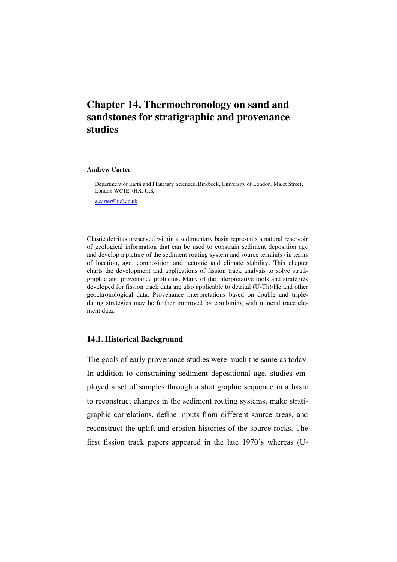# **Chapter 14. Thermochronology on sand and sandstones for stratigraphic and provenance studies**

#### **Andrew Carter**

Department of Earth and Planetary Sciences, Birkbeck, University of London, Malet Street, London WC1E 7HX, U.K.

a.carter@ucl.ac.uk

Clastic detritus preserved within a sedimentary basin represents a natural reservoir of geological information that can be used to constrain sediment deposition age and develop a picture of the sediment routing system and source terrain(s) in terms of location, age, composition and tectonic and climate stability. This chapter charts the development and applications of fission track analysis to solve stratigraphic and provenance problems. Many of the interpretative tools and strategies developed for fission track data are also applicable to detrital (U-Th)/He and other geochronological data. Provenance interpretations based on double and tripledating strategies may be further improved by combining with mineral trace element data.

#### **14.1. Historical Background**

The goals of early provenance studies were much the same as today. In addition to constraining sediment depositional age, studies employed a set of samples through a stratigraphic sequence in a basin to reconstruct changes in the sediment routing systems, make stratigraphic correlations, define inputs from different source areas, and reconstruct the uplift and erosion histories of the source rocks. The first fission track papers appeared in the late 1970's whereas (U-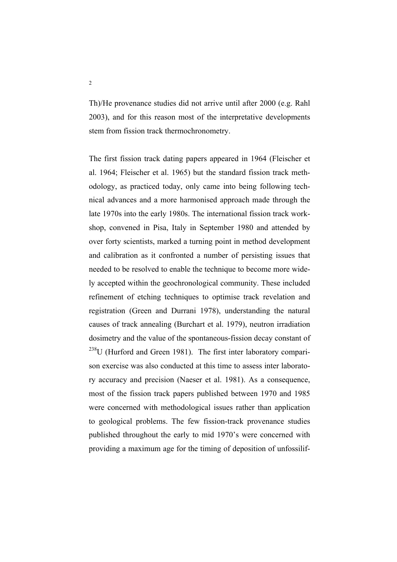Th)/He provenance studies did not arrive until after 2000 (e.g. Rahl 2003), and for this reason most of the interpretative developments stem from fission track thermochronometry.

The first fission track dating papers appeared in 1964 (Fleischer et al. 1964; Fleischer et al. 1965) but the standard fission track methodology, as practiced today, only came into being following technical advances and a more harmonised approach made through the late 1970s into the early 1980s. The international fission track workshop, convened in Pisa, Italy in September 1980 and attended by over forty scientists, marked a turning point in method development and calibration as it confronted a number of persisting issues that needed to be resolved to enable the technique to become more widely accepted within the geochronological community. These included refinement of etching techniques to optimise track revelation and registration (Green and Durrani 1978), understanding the natural causes of track annealing (Burchart et al. 1979), neutron irradiation dosimetry and the value of the spontaneous-fission decay constant of

 $^{238}$ U (Hurford and Green 1981). The first inter laboratory comparison exercise was also conducted at this time to assess inter laboratory accuracy and precision (Naeser et al. 1981). As a consequence, most of the fission track papers published between 1970 and 1985 were concerned with methodological issues rather than application to geological problems. The few fission-track provenance studies published throughout the early to mid 1970's were concerned with providing a maximum age for the timing of deposition of unfossilif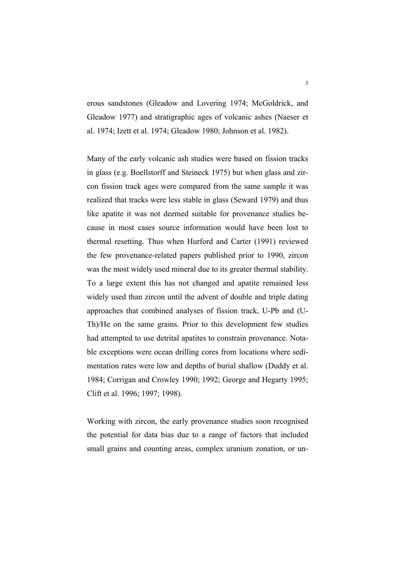erous sandstones (Gleadow and Lovering 1974; McGoldrick, and Gleadow 1977) and stratigraphic ages of volcanic ashes (Naeser et al. 1974; Izett et al. 1974; Gleadow 1980; Johnson et al. 1982).

Many of the early volcanic ash studies were based on fission tracks in glass (e.g. Boellstorff and Steineck 1975) but when glass and zircon fission track ages were compared from the same sample it was realized that tracks were less stable in glass (Seward 1979) and thus like apatite it was not deemed suitable for provenance studies because in most cases source information would have been lost to thermal resetting. Thus when Hurford and Carter (1991) reviewed the few provenance-related papers published prior to 1990, zircon was the most widely used mineral due to its greater thermal stability. To a large extent this has not changed and apatite remained less widely used than zircon until the advent of double and triple dating approaches that combined analyses of fission track, U-Pb and (U-Th)/He on the same grains. Prior to this development few studies had attempted to use detrital apatites to constrain provenance. Notable exceptions were ocean drilling cores from locations where sedimentation rates were low and depths of burial shallow (Duddy et al. 1984; Corrigan and Crowley 1990; 1992; George and Hegarty 1995; Clift et al. 1996; 1997; 1998).

Working with zircon, the early provenance studies soon recognised the potential for data bias due to a range of factors that included small grains and counting areas, complex uranium zonation, or un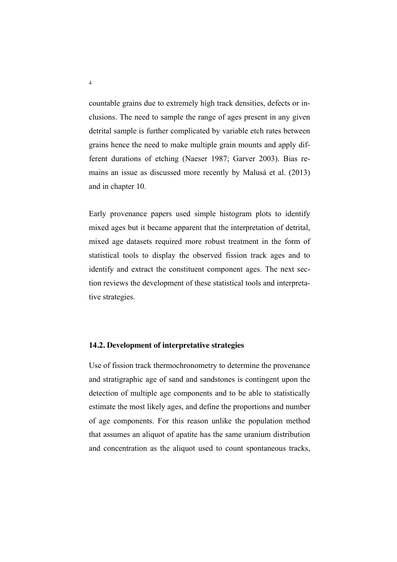countable grains due to extremely high track densities, defects or inclusions. The need to sample the range of ages present in any given detrital sample is further complicated by variable etch rates between grains hence the need to make multiple grain mounts and apply different durations of etching (Naeser 1987; Garver 2003). Bias remains an issue as discussed more recently by Malusá et al. (2013) and in chapter 10.

Early provenance papers used simple histogram plots to identify mixed ages but it became apparent that the interpretation of detrital, mixed age datasets required more robust treatment in the form of statistical tools to display the observed fission track ages and to identify and extract the constituent component ages. The next section reviews the development of these statistical tools and interpretative strategies.

#### **14.2. Development of interpretative strategies**

Use of fission track thermochronometry to determine the provenance and stratigraphic age of sand and sandstones is contingent upon the detection of multiple age components and to be able to statistically estimate the most likely ages, and define the proportions and number of age components. For this reason unlike the population method that assumes an aliquot of apatite has the same uranium distribution and concentration as the aliquot used to count spontaneous tracks,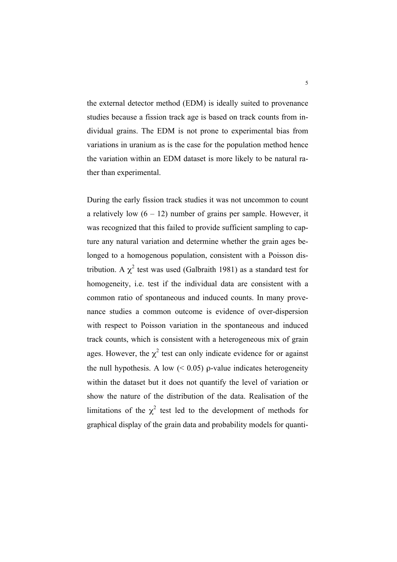the external detector method (EDM) is ideally suited to provenance studies because a fission track age is based on track counts from individual grains. The EDM is not prone to experimental bias from variations in uranium as is the case for the population method hence the variation within an EDM dataset is more likely to be natural rather than experimental.

During the early fission track studies it was not uncommon to count a relatively low  $(6 - 12)$  number of grains per sample. However, it was recognized that this failed to provide sufficient sampling to capture any natural variation and determine whether the grain ages belonged to a homogenous population, consistent with a Poisson distribution. A  $\chi^2$  test was used (Galbraith 1981) as a standard test for homogeneity, i.e. test if the individual data are consistent with a common ratio of spontaneous and induced counts. In many provenance studies a common outcome is evidence of over-dispersion with respect to Poisson variation in the spontaneous and induced track counts, which is consistent with a heterogeneous mix of grain ages. However, the  $\chi^2$  test can only indicate evidence for or against the null hypothesis. A low  $(< 0.05)$  ρ-value indicates heterogeneity within the dataset but it does not quantify the level of variation or show the nature of the distribution of the data. Realisation of the limitations of the  $\chi^2$  test led to the development of methods for graphical display of the grain data and probability models for quanti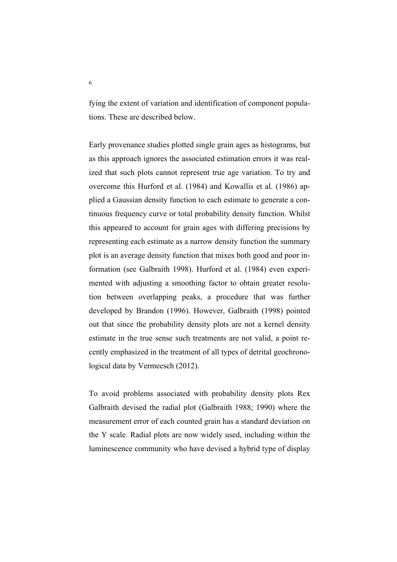fying the extent of variation and identification of component populations. These are described below.

Early provenance studies plotted single grain ages as histograms, but as this approach ignores the associated estimation errors it was realized that such plots cannot represent true age variation. To try and overcome this Hurford et al. (1984) and Kowallis et al. (1986) applied a Gaussian density function to each estimate to generate a continuous frequency curve or total probability density function. Whilst this appeared to account for grain ages with differing precisions by representing each estimate as a narrow density function the summary plot is an average density function that mixes both good and poor information (see Galbraith 1998). Hurford et al. (1984) even experimented with adjusting a smoothing factor to obtain greater resolution between overlapping peaks, a procedure that was further developed by Brandon (1996). However, Galbraith (1998) pointed out that since the probability density plots are not a kernel density estimate in the true sense such treatments are not valid, a point recently emphasized in the treatment of all types of detrital geochronological data by Vermeesch (2012).

To avoid problems associated with probability density plots Rex Galbraith devised the radial plot (Galbraith 1988; 1990) where the measurement error of each counted grain has a standard deviation on the Y scale. Radial plots are now widely used, including within the luminescence community who have devised a hybrid type of display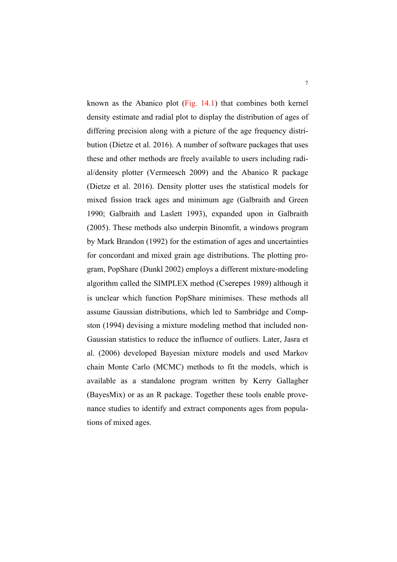known as the Abanico plot (Fig. 14.1) that combines both kernel density estimate and radial plot to display the distribution of ages of differing precision along with a picture of the age frequency distribution (Dietze et al. 2016). A number of software packages that uses these and other methods are freely available to users including radial/density plotter (Vermeesch 2009) and the Abanico R package (Dietze et al. 2016). Density plotter uses the statistical models for mixed fission track ages and minimum age (Galbraith and Green 1990; Galbraith and Laslett 1993), expanded upon in Galbraith (2005). These methods also underpin Binomfit, a windows program by Mark Brandon (1992) for the estimation of ages and uncertainties for concordant and mixed grain age distributions. The plotting program, PopShare (Dunkl 2002) employs a different mixture-modeling algorithm called the SIMPLEX method (Cserepes 1989) although it is unclear which function PopShare minimises. These methods all assume Gaussian distributions, which led to Sambridge and Compston (1994) devising a mixture modeling method that included non-Gaussian statistics to reduce the influence of outliers. Later, Jasra et al. (2006) developed Bayesian mixture models and used Markov chain Monte Carlo (MCMC) methods to fit the models, which is available as a standalone program written by Kerry Gallagher (BayesMix) or as an R package. Together these tools enable provenance studies to identify and extract components ages from populations of mixed ages.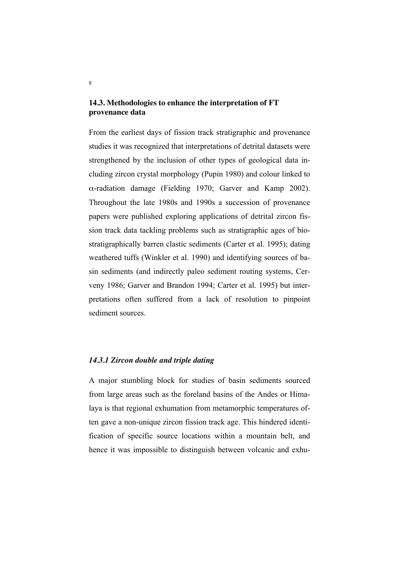# **14.3. Methodologies to enhance the interpretation of FT provenance data**

From the earliest days of fission track stratigraphic and provenance studies it was recognized that interpretations of detrital datasets were strengthened by the inclusion of other types of geological data including zircon crystal morphology (Pupin 1980) and colour linked to α-radiation damage (Fielding 1970; Garver and Kamp 2002). Throughout the late 1980s and 1990s a succession of provenance papers were published exploring applications of detrital zircon fission track data tackling problems such as stratigraphic ages of biostratigraphically barren clastic sediments (Carter et al. 1995); dating weathered tuffs (Winkler et al. 1990) and identifying sources of basin sediments (and indirectly paleo sediment routing systems, Cerveny 1986; Garver and Brandon 1994; Carter et al. 1995) but interpretations often suffered from a lack of resolution to pinpoint sediment sources.

#### *14.3.1 Zircon double and triple dating*

A major stumbling block for studies of basin sediments sourced from large areas such as the foreland basins of the Andes or Himalaya is that regional exhumation from metamorphic temperatures often gave a non-unique zircon fission track age. This hindered identification of specific source locations within a mountain belt, and hence it was impossible to distinguish between volcanic and exhu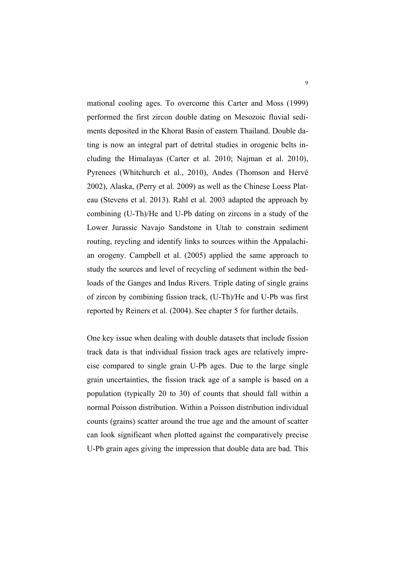mational cooling ages. To overcome this Carter and Moss (1999) performed the first zircon double dating on Mesozoic fluvial sediments deposited in the Khorat Basin of eastern Thailand. Double dating is now an integral part of detrital studies in orogenic belts including the Himalayas (Carter et al. 2010; Najman et al. 2010), Pyrenees (Whitchurch et al., 2010), Andes (Thomson and Hervé 2002), Alaska, (Perry et al. 2009) as well as the Chinese Loess Plateau (Stevens et al. 2013). Rahl et al. 2003 adapted the approach by combining (U-Th)/He and U-Pb dating on zircons in a study of the Lower Jurassic Navajo Sandstone in Utah to constrain sediment routing, reycling and identify links to sources within the Appalachian orogeny. Campbell et al. (2005) applied the same approach to study the sources and level of recycling of sediment within the bedloads of the Ganges and Indus Rivers. Triple dating of single grains of zircon by combining fission track, (U-Th)/He and U-Pb was first reported by Reiners et al. (2004). See chapter 5 for further details.

One key issue when dealing with double datasets that include fission track data is that individual fission track ages are relatively imprecise compared to single grain U-Pb ages. Due to the large single grain uncertainties, the fission track age of a sample is based on a population (typically 20 to 30) of counts that should fall within a normal Poisson distribution. Within a Poisson distribution individual counts (grains) scatter around the true age and the amount of scatter can look significant when plotted against the comparatively precise U-Pb grain ages giving the impression that double data are bad. This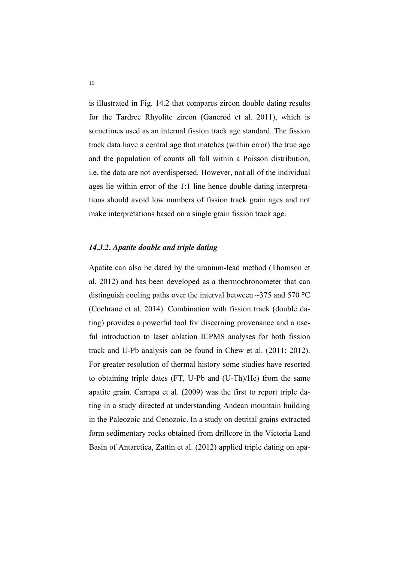is illustrated in Fig. 14.2 that compares zircon double dating results for the Tardree Rhyolite zircon (Ganerød et al. 2011), which is sometimes used as an internal fission track age standard. The fission track data have a central age that matches (within error) the true age and the population of counts all fall within a Poisson distribution, i.e. the data are not overdispersed. However, not all of the individual ages lie within error of the 1:1 line hence double dating interpretations should avoid low numbers of fission track grain ages and not make interpretations based on a single grain fission track age.

#### *14.3.2. Apatite double and triple dating*

Apatite can also be dated by the uranium-lead method (Thomson et al. 2012) and has been developed as a thermochronometer that can distinguish cooling paths over the interval between **~**375 and 570 **°**C (Cochrane et al. 2014). Combination with fission track (double dating) provides a powerful tool for discerning provenance and a useful introduction to laser ablation ICPMS analyses for both fission track and U-Pb analysis can be found in Chew et al. (2011; 2012). For greater resolution of thermal history some studies have resorted to obtaining triple dates (FT, U-Pb and (U-Th)/He) from the same apatite grain. Carrapa et al. (2009) was the first to report triple dating in a study directed at understanding Andean mountain building in the Paleozoic and Cenozoic. In a study on detrital grains extracted form sedimentary rocks obtained from drillcore in the Victoria Land Basin of Antarctica, Zattin et al. (2012) applied triple dating on apa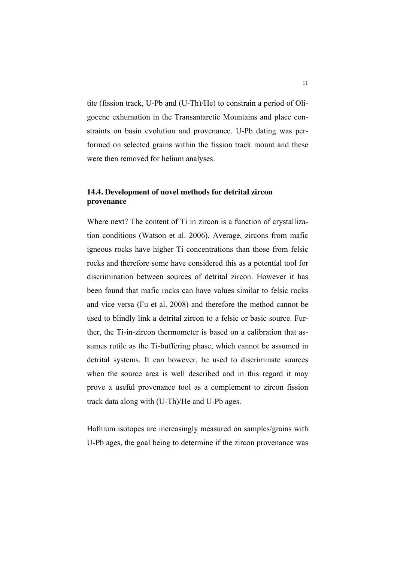tite (fission track, U-Pb and (U-Th)/He) to constrain a period of Oligocene exhumation in the Transantarctic Mountains and place constraints on basin evolution and provenance. U-Pb dating was performed on selected grains within the fission track mount and these were then removed for helium analyses.

# **14.4. Development of novel methods for detrital zircon provenance**

Where next? The content of Ti in zircon is a function of crystallization conditions (Watson et al. 2006). Average, zircons from mafic igneous rocks have higher Ti concentrations than those from felsic rocks and therefore some have considered this as a potential tool for discrimination between sources of detrital zircon. However it has been found that mafic rocks can have values similar to felsic rocks and vice versa (Fu et al. 2008) and therefore the method cannot be used to blindly link a detrital zircon to a felsic or basic source. Further, the Ti-in-zircon thermometer is based on a calibration that assumes rutile as the Ti-buffering phase, which cannot be assumed in detrital systems. It can however, be used to discriminate sources when the source area is well described and in this regard it may prove a useful provenance tool as a complement to zircon fission track data along with (U-Th)/He and U-Pb ages.

Hafnium isotopes are increasingly measured on samples/grains with U-Pb ages, the goal being to determine if the zircon provenance was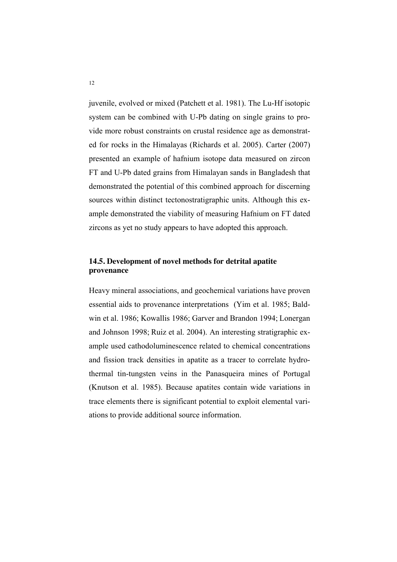juvenile, evolved or mixed (Patchett et al. 1981). The Lu-Hf isotopic system can be combined with U-Pb dating on single grains to provide more robust constraints on crustal residence age as demonstrated for rocks in the Himalayas (Richards et al. 2005). Carter (2007) presented an example of hafnium isotope data measured on zircon FT and U-Pb dated grains from Himalayan sands in Bangladesh that demonstrated the potential of this combined approach for discerning sources within distinct tectonostratigraphic units. Although this example demonstrated the viability of measuring Hafnium on FT dated zircons as yet no study appears to have adopted this approach.

# **14.5. Development of novel methods for detrital apatite provenance**

Heavy mineral associations, and geochemical variations have proven essential aids to provenance interpretations (Yim et al. 1985; Baldwin et al. 1986; Kowallis 1986; Garver and Brandon 1994; Lonergan and Johnson 1998; Ruiz et al. 2004). An interesting stratigraphic example used cathodoluminescence related to chemical concentrations and fission track densities in apatite as a tracer to correlate hydrothermal tin-tungsten veins in the Panasqueira mines of Portugal (Knutson et al. 1985). Because apatites contain wide variations in trace elements there is significant potential to exploit elemental variations to provide additional source information.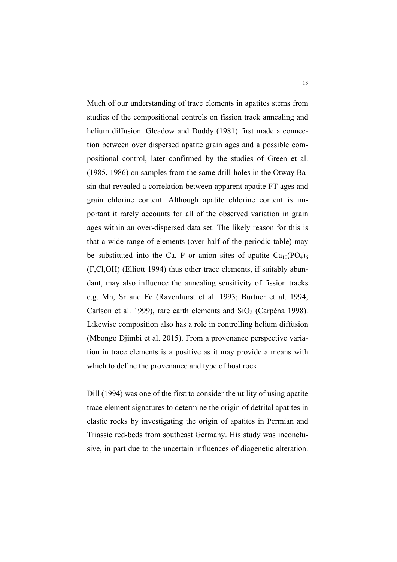Much of our understanding of trace elements in apatites stems from studies of the compositional controls on fission track annealing and helium diffusion. Gleadow and Duddy (1981) first made a connection between over dispersed apatite grain ages and a possible compositional control, later confirmed by the studies of Green et al. (1985, 1986) on samples from the same drill-holes in the Otway Basin that revealed a correlation between apparent apatite FT ages and grain chlorine content. Although apatite chlorine content is important it rarely accounts for all of the observed variation in grain ages within an over-dispersed data set. The likely reason for this is that a wide range of elements (over half of the periodic table) may be substituted into the Ca, P or anion sites of apatite  $Ca_{10}(PO_4)_6$ (F,Cl,OH) (Elliott 1994) thus other trace elements, if suitably abundant, may also influence the annealing sensitivity of fission tracks e.g. Mn, Sr and Fe (Ravenhurst et al. 1993; Burtner et al. 1994; Carlson et al. 1999), rare earth elements and  $SiO<sub>2</sub>$  (Carpéna 1998). Likewise composition also has a role in controlling helium diffusion (Mbongo Djimbi et al. 2015). From a provenance perspective variation in trace elements is a positive as it may provide a means with which to define the provenance and type of host rock.

Dill (1994) was one of the first to consider the utility of using apatite trace element signatures to determine the origin of detrital apatites in clastic rocks by investigating the origin of apatites in Permian and Triassic red-beds from southeast Germany. His study was inconclusive, in part due to the uncertain influences of diagenetic alteration.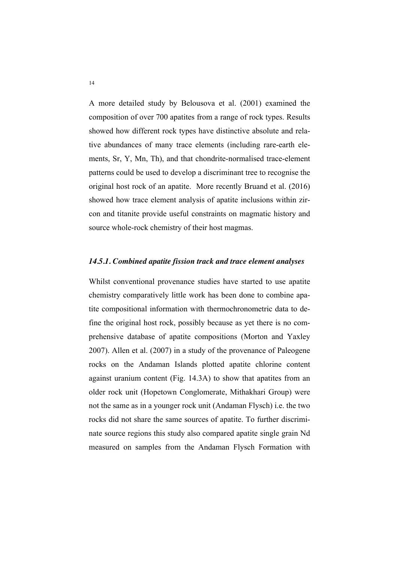A more detailed study by Belousova et al. (2001) examined the composition of over 700 apatites from a range of rock types. Results showed how different rock types have distinctive absolute and relative abundances of many trace elements (including rare-earth elements, Sr, Y, Mn, Th), and that chondrite-normalised trace-element patterns could be used to develop a discriminant tree to recognise the original host rock of an apatite. More recently Bruand et al. (2016) showed how trace element analysis of apatite inclusions within zircon and titanite provide useful constraints on magmatic history and source whole-rock chemistry of their host magmas.

### *14.5.1. Combined apatite fission track and trace element analyses*

Whilst conventional provenance studies have started to use apatite chemistry comparatively little work has been done to combine apatite compositional information with thermochronometric data to define the original host rock, possibly because as yet there is no comprehensive database of apatite compositions (Morton and Yaxley 2007). Allen et al. (2007) in a study of the provenance of Paleogene rocks on the Andaman Islands plotted apatite chlorine content against uranium content (Fig. 14.3A) to show that apatites from an older rock unit (Hopetown Conglomerate, Mithakhari Group) were not the same as in a younger rock unit (Andaman Flysch) i.e. the two rocks did not share the same sources of apatite. To further discriminate source regions this study also compared apatite single grain Nd measured on samples from the Andaman Flysch Formation with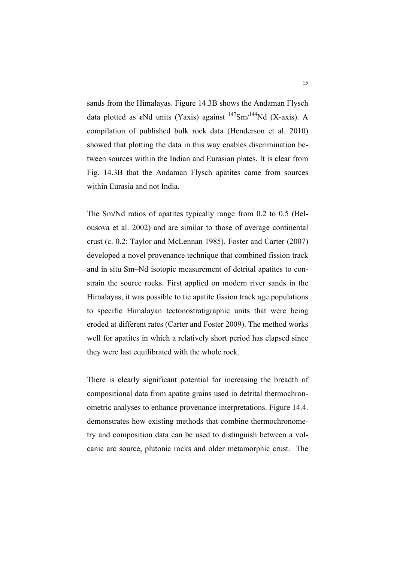sands from the Himalayas. Figure 14.3B shows the Andaman Flysch data plotted as εNd units (Yaxis) against <sup>147</sup>Sm/<sup>144</sup>Nd (X-axis). A compilation of published bulk rock data (Henderson et al. 2010) showed that plotting the data in this way enables discrimination between sources within the Indian and Eurasian plates. It is clear from Fig. 14.3B that the Andaman Flysch apatites came from sources within Eurasia and not India.

The Sm**/**Nd ratios of apatites typically range from 0.2 to 0.5 (Belousova et al. 2002) and are similar to those of average continental crust (c. 0.2: Taylor and McLennan 1985). Foster and Carter (2007) developed a novel provenance technique that combined fission track and in situ Sm**–**Nd isotopic measurement of detrital apatites to constrain the source rocks. First applied on modern river sands in the Himalayas, it was possible to tie apatite fission track age populations to specific Himalayan tectonostratigraphic units that were being eroded at different rates (Carter and Foster 2009). The method works well for apatites in which a relatively short period has elapsed since they were last equilibrated with the whole rock.

There is clearly significant potential for increasing the breadth of compositional data from apatite grains used in detrital thermochronometric analyses to enhance provenance interpretations. Figure 14.4. demonstrates how existing methods that combine thermochronometry and composition data can be used to distinguish between a volcanic arc source, plutonic rocks and older metamorphic crust. The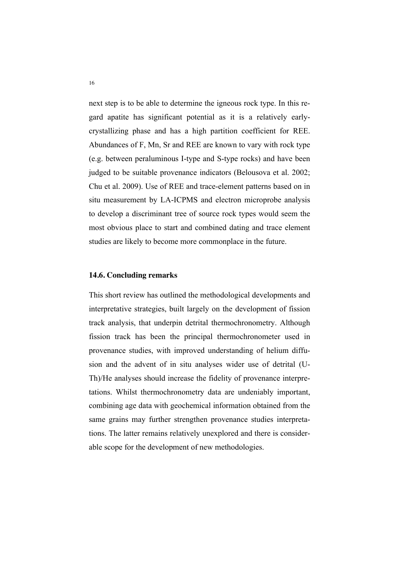next step is to be able to determine the igneous rock type. In this regard apatite has significant potential as it is a relatively earlycrystallizing phase and has a high partition coefficient for REE. Abundances of F, Mn, Sr and REE are known to vary with rock type (e.g. between peraluminous I-type and S-type rocks) and have been judged to be suitable provenance indicators (Belousova et al. 2002; Chu et al. 2009). Use of REE and trace-element patterns based on in situ measurement by LA-ICPMS and electron microprobe analysis to develop a discriminant tree of source rock types would seem the most obvious place to start and combined dating and trace element studies are likely to become more commonplace in the future.

#### **14.6. Concluding remarks**

This short review has outlined the methodological developments and interpretative strategies, built largely on the development of fission track analysis, that underpin detrital thermochronometry. Although fission track has been the principal thermochronometer used in provenance studies, with improved understanding of helium diffusion and the advent of in situ analyses wider use of detrital (U-Th)/He analyses should increase the fidelity of provenance interpretations. Whilst thermochronometry data are undeniably important, combining age data with geochemical information obtained from the same grains may further strengthen provenance studies interpretations. The latter remains relatively unexplored and there is considerable scope for the development of new methodologies.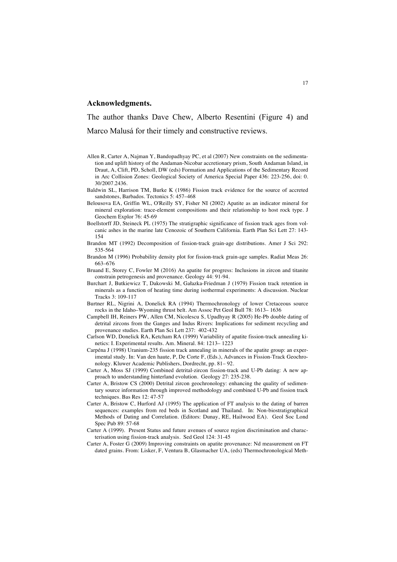#### **Acknowledgments.**

The author thanks Dave Chew, Alberto Resentini (Figure 4) and Marco Malusá for their timely and constructive reviews.

Allen R, Carter A, Najman Y, Bandopadhyay PC, et al (2007) New constraints on the sedimentation and uplift history of the Andaman-Nicobar accretionary prism, South Andaman Island, in Draut, A, Clift, PD, Scholl, DW (eds) Formation and Applications of the Sedimentary Record in Arc Collision Zones: Geological Society of America Special Paper 436: 223-256, doi: 0. 30/2007.2436.

- Baldwin SL, Harrison TM, Burke K (1986) Fission track evidence for the source of accreted sandstones, Barbados. Tectonics 5: 457–468
- Belousova EA, Griffin WL, O'Reilly SY, Fisher NI (2002) Apatite as an indicator mineral for mineral exploration: trace-element compositions and their relationship to host rock type. J Geochem Explor 76: 45-69
- Boellstorff JD, Steineck PL (1975) The stratigraphic significance of fission track ages from volcanic ashes in the marine late Cenozoic of Southern California. Earth Plan Sci Lett 27: 143- 154
- Brandon MT (1992) Decomposition of fission-track grain-age distributions. Amer J Sci 292: 535-564
- Brandon M (1996) Probability density plot for fission-track grain-age samples. Radiat Meas 26: 663–676
- Bruand E, Storey C, Fowler M (2016) An apatite for progress: Inclusions in zircon and titanite constrain petrogenesis and provenance. Geology 44: 91-94.
- Burchart J, Butkiewicz T, Dakowski M, Gałazka-Friedman J (1979) Fission track retention in minerals as a function of heating time during isothermal experiments: A discussion. Nuclear Tracks 3: 109-117
- Burtner RL, Nigrini A, Donelick RA (1994) Thermochronology of lower Cretaceous source rocks in the Idaho–Wyoming thrust belt. Am Assoc Pet Geol Bull 78: 1613– 1636
- Campbell IH, Reiners PW, Allen CM, Nicolescu S, Upadhyay R (2005) He-Pb double dating of detrital zircons from the Ganges and Indus Rivers: Implications for sediment recycling and provenance studies. Earth Plan Sci Lett 237: 402-432
- Carlson WD, Donelick RA, Ketcham RA (1999) Variability of apatite fission-track annealing kinetics: I. Experimental results. Am. Mineral. 84: 1213– 1223
- Carpéna J (1998) Uranium-235 fission track annealing in minerals of the apatite group: an experimental study. In: Van den haute, P, De Corte F, (Eds.), Advances in Fission-Track Geochronology. Kluwer Academic Publishers, Dordrecht, pp. 81– 92.
- Carter A, Moss SJ (1999) Combined detrital-zircon fission-track and U-Pb dating: A new approach to understanding hinterland evolution. Geology 27: 235-238.
- Carter A, Bristow CS (2000) Detrital zircon geochronology: enhancing the quality of sedimentary source information through improved methodology and combined U-Pb and fission track techniques. Bas Res 12: 47-57
- Carter A, Bristow C, Hurford AJ (1995) The application of FT analysis to the dating of barren sequences: examples from red beds in Scotland and Thailand. In: Non-biostratigraphical Methods of Dating and Correlation. (Editors: Dunay, RE, Hailwood EA). Geol Soc Lond Spec Pub 89: 57-68
- Carter A (1999). Present Status and future avenues of source region discrimination and characterisation using fission-track analysis. Sed Geol 124: 31-45
- Carter A, Foster G (2009) Improving constraints on apatite provenance: Nd measurement on FT dated grains. From: Lisker, F, Ventura B, Glasmacher UA, (eds) Thermochronological Meth-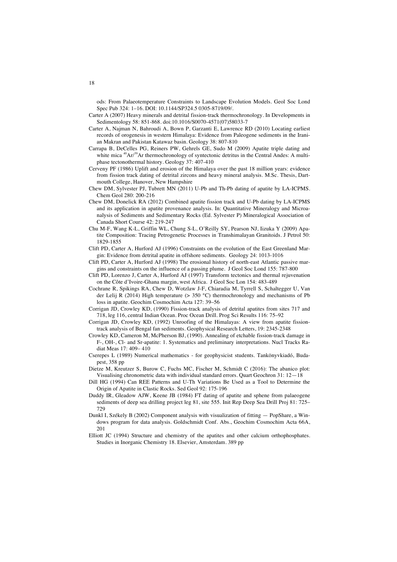ods: From Palaeotemperature Constraints to Landscape Evolution Models. Geol Soc Lond Spec Pub 324: 1–16. DOI: 10.1144/SP324.5 0305-8719/09/.

- Carter A (2007) Heavy minerals and detrital fission-track thermochronology. In Developments in Sedimentology 58: 851-868. doi:10.1016/S0070-4571(07)58033-7
- Carter A, Najman N, Bahroudi A, Bown P, Garzanti E, Lawrence RD (2010) Locating earliest records of orogenesis in western Himalaya: Evidence from Paleogene sediments in the Iranian Makran and Pakistan Katawaz basin. Geology 38: 807-810
- Carrapa B, DeCelles PG, Reiners PW, Gehrels GE, Sudo M (2009) Apatite triple dating and white mica  ${}^{40}Ar^{39}Ar$  thermochronology of syntectonic detritus in the Central Andes: A multiphase tectonothermal history. Geology 37: 407-410
- Cerveny PF (1986) Uplift and erosion of the Himalaya over the past 18 million years: evidence from fission track dating of detrital zircons and heavy mineral analysis. M.Sc. Thesis, Dartmouth College, Hanover, New Hampshire
- Chew DM, Sylvester PJ, Tubrett MN (2011) U-Pb and Th-Pb dating of apatite by LA-ICPMS. Chem Geol 280: 200-216
- Chew DM, Donelick RA (2012) Combined apatite fission track and U-Pb dating by LA-ICPMS and its application in apatite provenance analysis. In: Quantitative Mineralogy and Microanalysis of Sediments and Sedimentary Rocks (Ed. Sylvester P) Mineralogical Association of Canada Short Course 42: 219-247
- Chu M-F, Wang K-L, Griffin WL, Chung S-L, O'Reilly SY, Pearson NJ, Iizuka Y (2009) Apatite Composition: Tracing Petrogenetic Processes in Transhimalayan Granitoids. J Petrol 50: 1829-1855
- Clift PD, Carter A, Hurford AJ (1996) Constraints on the evolution of the East Greenland Margin: Evidence from detrital apatite in offshore sediments. Geology 24: 1013-1016
- Clift PD, Carter A, Hurford AJ (1998) The erosional history of north-east Atlantic passive margins and constraints on the influence of a passing plume. J Geol Soc Lond 155: 787-800
- Clift PD, Lorenzo J, Carter A, Hurford AJ (1997) Transform tectonics and thermal rejuvenation on the Côte d'Ivoire-Ghana margin, west Africa. J Geol Soc Lon 154: 483-489
- Cochrane R, Spikings RA, Chew D, Wotzlaw J-F, Chiaradia M, Tyrrell S, Schaltegger U, Van der Lelij R (2014) High temperature (> 350 °C) thermochronology and mechanisms of Pb loss in apatite. Geochim Cosmochim Acta 127: 39–56
- Corrigan JD, Crowley KD, (1990) Fission-track analysis of detrital apatites from sites 717 and 718, leg 116, central Indian Ocean. Proc Ocean Drill. Prog Sci Results 116: 75–92
- Corrigan JD, Crowley KD, (1992) Unroofing of the Himalayas: A view from apatite fissiontrack analysis of Bengal fan sediments. Geophysical Research Letters, 19: 2345-2348
- Crowley KD, Cameron M, McPherson BJ, (1990). Annealing of etchable fission-track damage in F-, OH-, Cl- and Sr-apatite: 1. Systematics and preliminary interpretations. Nucl Tracks Radiat Meas 17: 409– 410
- Cserepes L (1989) Numerical mathematics for geophysicist students. Tankönyvkiadó, Budapest, 358 pp
- Dietze M, Kreutzer S, Burow C, Fuchs MC, Fischer M, Schmidt C (2016): The abanico plot: Visualising chronometric data with individual standard errors. Quart Geochron 31: 12—18
- Dill HG (1994) Can REE Patterns and U-Th Variations Be Used as a Tool to Determine the Origin of Apatite in Clastic Rocks. Sed Geol 92: 175-196
- Duddy IR, Gleadow AJW, Keene JB (1984) FT dating of apatite and sphene from palaeogene sediments of deep sea drilling project leg 81, site 555. Init Rep Deep Sea Drill Proj 81: 725– 729
- Dunkl I, Székely B (2002) Component analysis with visualization of fitting PopShare, a Windows program for data analysis. Goldschmidt Conf. Abs., Geochim Cosmochim Acta 66A, 201
- Elliott JC (1994) Structure and chemistry of the apatites and other calcium orthophosphates. Studies in Inorganic Chemistry 18. Elsevier, Amsterdam. 389 pp

18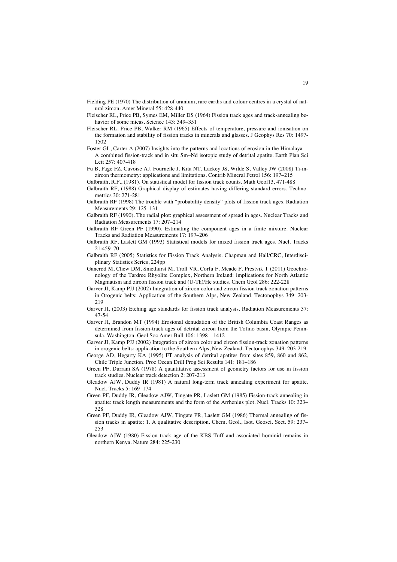- Fielding PE (1970) The distribution of uranium, rare earths and colour centres in a crystal of natural zircon. Amer Mineral 55: 428-440
- Fleischer RL, Price PB, Symes EM, Miller DS (1964) Fission track ages and track-annealing behavior of some micas. Science 143: 349–351
- Fleischer RL, Price PB, Walker RM (1965) Effects of temperature, pressure and ionisation on the formation and stability of fission tracks in minerals and glasses. J Geophys Res 70: 1497- 1502
- Foster GL, Carter A (2007) Insights into the patterns and locations of erosion in the Himalaya— A combined fission-track and in situ Sm–Nd isotopic study of detrital apatite. Earth Plan Sci Lett 257: 407-418
- Fu B, Page FZ, Cavoise AJ, Fournelle J, Kita NT, Lackey JS, Wilde S, Valley JW (2008) Ti-inzircon thermometry: applications and limitations. Contrib Mineral Petrol 156: 197–215
- Galbraith, R.F., (1981). On statistical model for fission track counts. Math Geol13, 471-488
- Galbraith RF, (1988) Graphical display of estimates having differing standard errors. Technometrics 30: 271-281
- Galbraith RF (1998) The trouble with "probability density" plots of fission track ages. Radiation Measurements 29: 125–131
- Galbraith RF (1990). The radial plot: graphical assessment of spread in ages. Nuclear Tracks and Radiation Measurements 17: 207–214
- Galbraith RF Green PF (1990). Estimating the component ages in a finite mixture. Nuclear Tracks and Radiation Measurements 17: 197–206
- Galbraith RF, Laslett GM (1993) Statistical models for mixed fission track ages. Nucl. Tracks 21:459–70
- Galbraith RF (2005) Statistics for Fission Track Analysis. Chapman and Hall/CRC, Interdisciplinary Statistics Series, 224pp
- Ganerød M, Chew DM, Smethurst M, Troll VR, Corfu F, Meade F. Prestvik T (2011) Geochronology of the Tardree Rhyolite Complex, Northern Ireland: implications for North Atlantic Magmatism and zircon fission track and (U-Th)/He studies. Chem Geol 286: 222-228
- Garver JI, Kamp PJJ (2002) Integration of zircon color and zircon fission track zonation patterns in Orogenic belts: Application of the Southern Alps, New Zealand. Tectonophys 349: 203- 219
- Garver JI, (2003) Etching age standards for fission track analysis. Radiation Measurements 37: 47-54
- Garver JI, Brandon MT (1994) Erosional denudation of the British Columbia Coast Ranges as determined from fission-track ages of detrital zircon from the Tofino basin, Olympic Peninsula, Washington. Geol Soc Amer Bull 106: 1398—1412
- Garver JI, Kamp PJJ (2002) Integration of zircon color and zircon fission-track zonation patterns in orogenic belts: application to the Southern Alps, New Zealand. Tectonophys 349: 203-219
- George AD, Hegarty KA (1995) FT analysis of detrital apatites from sites 859, 860 and 862, Chile Triple Junction. Proc Ocean Drill Prog Sci Results 141: 181–186
- Green PF, Durrani SA (1978) A quantitative assessment of geometry factors for use in fission track studies. Nuclear track detection 2: 207-213
- Gleadow AJW, Duddy IR (1981) A natural long-term track annealing experiment for apatite. Nucl. Tracks 5: 169–174
- Green PF, Duddy IR, Gleadow AJW, Tingate PR, Laslett GM (1985) Fission-track annealing in apatite: track length measurements and the form of the Arrhenius plot. Nucl. Tracks 10: 323– 328
- Green PF, Duddy IR, Gleadow AJW, Tingate PR, Laslett GM (1986) Thermal annealing of fission tracks in apatite: 1. A qualitative description. Chem. Geol., Isot. Geosci. Sect. 59: 237– 253
- Gleadow AJW (1980) Fission track age of the KBS Tuff and associated hominid remains in northern Kenya. Nature 284: 225-230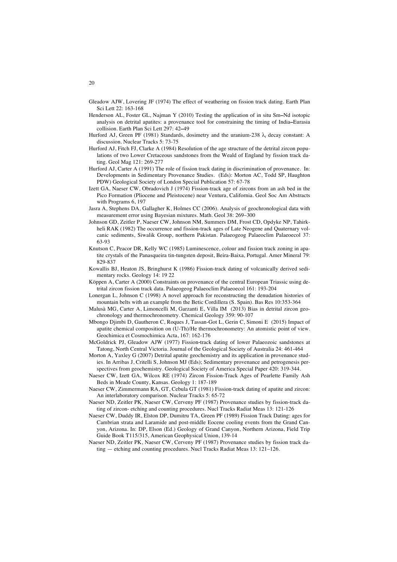- Gleadow AJW, Lovering JF (1974) The effect of weathering on fission track dating. Earth Plan Sci Lett 22: 163-168
- Henderson AL, Foster GL, Najman Y (2010) Testing the application of in situ Sm**–**Nd isotopic analysis on detrital apatites: a provenance tool for constraining the timing of India**–**Eurasia collision. Earth Plan Sci Lett 297: 42**–**49
- Hurford AJ, Green PF (1981) Standards, dosimetry and the uranium-238  $\lambda$  decay constant: A discussion. Nuclear Tracks 5: 73-75
- Hurford AJ, Fitch FJ, Clarke A (1984) Resolution of the age structure of the detrital zircon populations of two Lower Cretaceous sandstones from the Weald of England by fission track dating. Geol Mag 121: 269-277
- Hurford AJ, Carter A (1991) The role of fission track dating in discrimination of provenance. In: Developments in Sedimentary Provenance Studies. (Eds): Morton AC, Todd SP, Haughton PDW) Geological Society of London Special Publication 57: 67-78
- Izett GA, Naeser CW, Obradovich J (1974) Fission-track age of zircons from an ash bed in the Pico Formation (Pliocene and Pleistocene) near Ventura, California. Geol Soc Am Abstracts with Programs 6, 197
- Jasra A, Stephens DA, Gallagher K, Holmes CC (2006). Analysis of geochronological data with measurement error using Bayesian mixtures. Math. Geol 38: 269–300
- Johnson GD, Zeitler P, Naeser CW, Johnson NM, Summers DM, Frost CD, Opdyke NP, Tahirkheli RAK (1982) The occurrence and fission-track ages of Late Neogene and Quaternary volcanic sediments, Siwalik Group, northern Pakistan. Palaeogeog Palaeoclim Palaeoecol 37: 63-93
- Knutson C, Peacor DR, Kelly WC (1985) Luminescence, colour and fission track zoning in apatite crystals of the Panasqueira tin-tungsten deposit, Beira-Baixa, Portugal. Amer Mineral 79: 829-837
- Kowallis BJ, Heaton JS, Bringhurst K (1986) Fission-track dating of volcanically derived sedimentary rocks. Geology 14: 19 22
- Köppen A, Carter A (2000) Constraints on provenance of the central European Triassic using detrital zircon fission track data. Palaeogeog Palaeoclim Palaeoecol 161: 193-204
- Lonergan L, Johnson C (1998) A novel approach for reconstructing the denudation histories of mountain belts with an example from the Betic Cordillera (S. Spain). Bas Res 10:353-364
- Malusà MG, Carter A, Limoncelli M, Garzanti E, Villa IM (2013) Bias in detrital zircon geochronology and thermochronometry. Chemical Geology 359: 90-107
- Mbongo Djimbi D, Gautheron C, Roques J, Tassan-Got L, Gerin C, Simoni E (2015) Impact of apatite chemical composition on (U-Th)/He thermochronometry: An atomistic point of view. Geochimica et Cosmochimica Acta, 167: 162-176
- McGoldrick PJ, Gleadow AJW (1977) Fission-track dating of lower Palaeozoic sandstones at Tatong, North Central Victoria. Journal of the Geological Society of Australia 24: 461-464
- Morton A, Yaxley G (2007) Detrital apatite geochemistry and its application in provenance studies. In Arribas J, Critelli S, Johnson MJ (Eds); Sedimentary provenance and petrogenesis perspectives from geochemistry. Geological Society of America Special Paper 420: 319-344.
- Naeser CW, Izett GA, Wilcox RE (1974) Zircon Fission-Track Ages of Pearlette Family Ash Beds in Meade County, Kansas. Geology 1: 187-189
- Naeser CW, Zimmermann RA, GT, Cebula GT (1981) Fission-track dating of apatite and zircon: An interlaboratory comparison. Nuclear Tracks 5: 65-72
- Naeser ND, Zeitler PK, Naeser CW, Cerveny PF (1987) Provenance studies by fission-track dating of zircon- etching and counting procedures. Nucl Tracks Radiat Meas 13: 121-126
- Naeser CW, Duddy IR, Elston DP, Dumitru TA, Green PF (1989) Fission Track Dating: ages for Cambrian strata and Laramide and post-middle Eocene cooling events from the Grand Canyon, Arizona. In: DP, Elson (Ed.) Geology of Grand Canyon, Northern Arizona, Field Trip Guide Book T115/315, American Geophysical Union, 139-14
- Naeser ND, Zeitler PK, Naeser CW, Cerveny PF (1987) Provenance studies by fission track dating — etching and counting procedures. Nucl Tracks Radiat Meas 13: 121–126.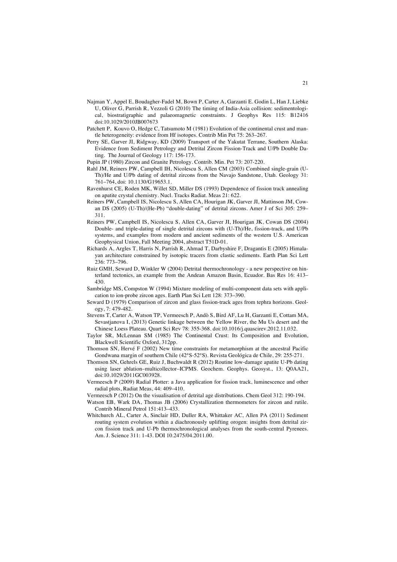- Najman Y, Appel E, Boudagher-Fadel M, Bown P, Carter A, Garzanti E. Godin L, Han J, Liebke U, Oliver G, Parrish R, Vezzoli G (2010) The timing of India-Asia collision: sedimentological, biostratigraphic and palaeomagnetic constraints. J Geophys Res 115: B12416 doi:10.1029/2010JB007673
- Patchett P, Kouvo O, Hedge C, Tatsumoto M (1981) Evolution of the continental crust and mantle heterogeneity: evidence from Hf isotopes. Contrib Min Pet 75: 263–267.
- Perry SE, Garver JI, Ridgway, KD (2009) Transport of the Yakutat Terrane, Southern Alaska: Evidence from Sediment Petrology and Detrital Zircon Fission-Track and U/Pb Double Dating. The Journal of Geology 117: 156-173.

Pupin JP (1980) Zircon and Granite Petrology. Contrib. Min. Pet 73: 207-220.

- Rahl JM, Reiners PW, Campbell IH, Nicolescu S, Allen CM (2003) Combined single-grain (U-Th)/He and U/Pb dating of detrital zircons from the Navajo Sandstone, Utah. Geology 31: 761–764, doi: 10.1130/G19653.1.
- Ravenhurst CE, Roden MK, Willet SD, Miller DS (1993) Dependence of fission track annealing on apatite crystal chemistry. Nucl. Tracks Radiat. Meas 21: 622.
- Reiners PW, Campbell IS, Nicolescu S, Allen CA, Hourigan JK, Garver JI, Mattinson JM, Cowan DS (2005) (U-Th)/(He-Pb) "double-dating" of detrital zircons. Amer J of Sci 305: 259– 311.
- Reiners PW, Campbell IS, Nicolescu S, Allen CA, Garver JI, Hourigan JK, Cowan DS (2004) Double- and triple-dating of single detrital zircons with (U-Th)/He, fission-track, and U/Pb systems, and examples from modern and ancient sediments of the western U.S. American Geophysical Union, Fall Meeting 2004, abstract T51D-01.
- Richards A, Argles T, Harris N, Parrish R, Ahmad T, Darbyshire F, Dragantis E (2005) Himalayan architecture constrained by isotopic tracers from clastic sediments. Earth Plan Sci Lett 236: 773–796.
- Ruiz GMH, Seward D, Winkler W (2004) Detrital thermochronology a new perspective on hinterland tectonics, an example from the Andean Amazon Basin, Ecuador. Bas Res 16: 413– 430.
- Sambridge MS, Compston W (1994) Mixture modeling of multi-component data sets with application to ion-probe zircon ages. Earth Plan Sci Lett 128: 373–390.
- Seward D (1979) Comparison of zircon and glass fission-track ages from tephra horizons. Geology, 7: 479-482.
- Stevens T, Carter A, Watson TP, Vermeesch P, Andò S, Bird AF, Lu H, Garzanti E, Cottam MA, Sevastjanova I, (2013) Genetic linkage between the Yellow River, the Mu Us desert and the Chinese Loess Plateau. Quart Sci Rev 78: 355-368. doi:10.1016/j.quascirev.2012.11.032.
- Taylor SR, McLennan SM (1985) The Continental Crust: Its Composition and Evolution, Blackwell Scientific Oxford, 312pp.
- Thomson SN, Hervé F (2002) New time constraints for metamorphism at the ancestral Pacific Gondwana margin of southern Chile (42°S-52°S). Revista Geológica de Chile, 29: 255-271.
- Thomson SN, Gehrels GE, Ruiz J, Buchwaldt R (2012) Routine low-damage apatite U-Pb dating using laser ablation–multicollector–ICPMS. Geochem. Geophys. Geosyst., 13: Q0AA21, doi:10.1029/2011GC003928.
- Vermeesch P (2009) Radial Plotter: a Java application for fission track, luminescence and other radial plots, Radiat Meas, 44: 409–410.
- Vermeesch P (2012) On the visualisation of detrital age distributions. Chem Geol 312: 190-194.
- Watson EB, Wark DA, Thomas JB (2006) Crystallization thermometers for zircon and rutile. Contrib Mineral Petrol 151:413–433.
- Whitchurch AL, Carter A, Sinclair HD, Duller RA, Whittaker AC, Allen PA (2011) Sediment routing system evolution within a diachronously uplifting orogen: insights from detrital zircon fission track and U-Pb thermochronological analyses from the south-central Pyrenees. Am. J. Science 311: 1-43. DOI 10.2475/04.2011.00.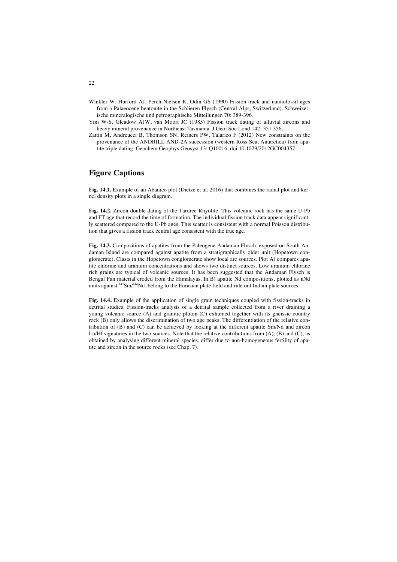- Winkler W, Hurford AJ, Perch-Nielsen K, Odin GS (1990) Fission track and nannofossil ages from a Palaeocene bentonite in the Schlieren Flysch (Central Alps, Switzerland). Schweizerische mineralogische und petrographische Mitteilungen 70: 389-396.
- Yim W-S, Gleadow AJW, van Moort JC (1985) Fission track dating of alluvial zircons and heavy mineral provenance in Northeast Tasmania. J Geol Soc Lond 142: 351 356.
- Zattin M, Andreucci B, Thomson SN, Reiners PW, Talarico F (2012) New constraints on the provenance of the ANDRILL AND-2A succession (western Ross Sea, Antarctica) from apatite triple dating. Geochem Geophys Geosyst 13: Q10016, doi:10.1029/2012GC004357.

#### **Figure Captions**

**Fig. 14.1.** Example of an Abanico plot (Dietze et al. 2016) that combines the radial plot and kernel density plots in a single diagram.

**Fig. 14.2.** Zircon double dating of the Tardree Rhyolite. This volcanic rock has the same U-Pb and FT age that record the time of formation. The individual fission track data appear significantly scattered compared to the U-Pb ages. This scatter is consistent with a normal Poisson distribution that gives a fission track central age consistent with the true age.

**Fig. 14.3.** Compositions of apatites from the Paleogene Andaman Flysch, exposed on South Andaman Island are compared against apatite from a stratigraphically older unit (Hopetown conglomerate). Clasts in the Hopetown conglomerate show local arc sources. Plot A) compares apatite chlorine and uranium concentrations and shows two distinct sources. Low uranium chlorine rich grains are typical of volcanic sources. It has been suggested that the Andaman Flysch is Bengal Fan material eroded from the Himalayas. In B) apatite Nd compositions, plotted as **ε**Nd units against  $147$ Sm/ $144$ Nd, belong to the Eurasian plate field and rule out Indian plate sources.

**Fig. 14.4.** Example of the application of single grain techniques coupled with fission-tracks in detrital studies. Fission-tracks analysis of a detrital sample collected from a river draining a young volcanic source (A) and granitic pluton (C) exhumed together with its gneissic country rock (B) only allows the discrimination of two age peaks. The differentiation of the relative contribution of (B) and (C) can be achieved by looking at the different apatite Sm/Nd and zircon Lu/Hf signatures in the two sources. Note that the relative contributions from (A), (B) and (C), as obtained by analysing different mineral species, differ due to non-homogeneous fertility of apatite and zircon in the source rocks (see Chap. 7).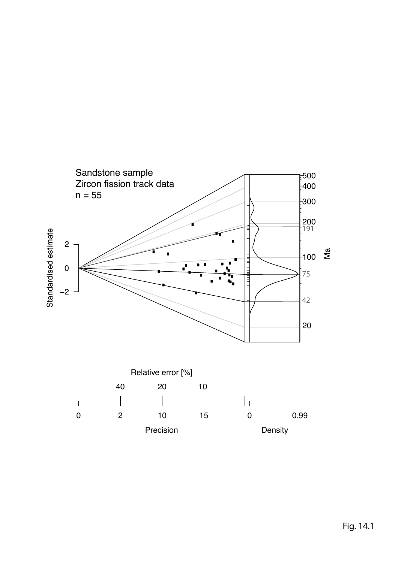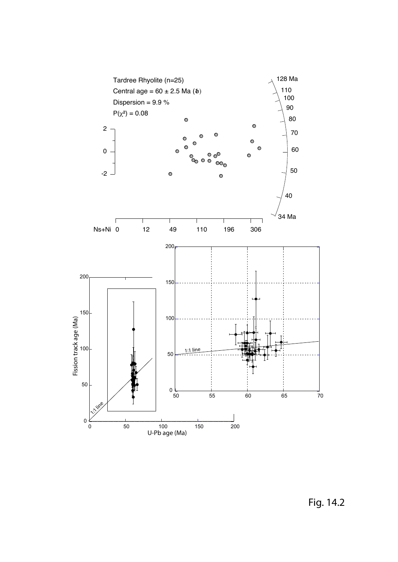

Fig. 14.2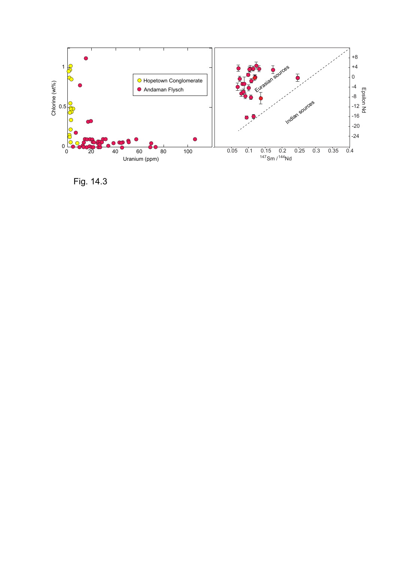

Fig. 14.3